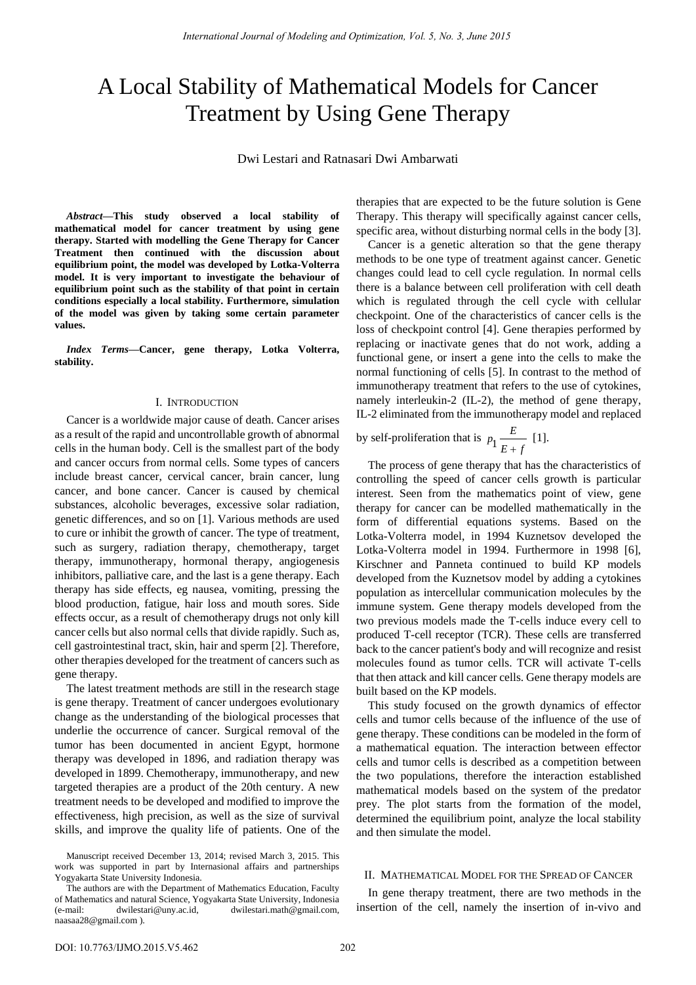# A Local Stability of Mathematical Models for Cancer Treatment by Using Gene Therapy

Dwi Lestari and Ratnasari Dwi Ambarwati

*Abstract***—This study observed a local stability of mathematical model for cancer treatment by using gene therapy. Started with modelling the Gene Therapy for Cancer Treatment then continued with the discussion about equilibrium point, the model was developed by Lotka-Volterra model. It is very important to investigate the behaviour of equilibrium point such as the stability of that point in certain conditions especially a local stability. Furthermore, simulation of the model was given by taking some certain parameter values.** 

*Index Terms***—Cancer, gene therapy, Lotka Volterra, stability.** 

## I. INTRODUCTION

Cancer is a worldwide major cause of death. Cancer arises as a result of the rapid and uncontrollable growth of abnormal cells in the human body. Cell is the smallest part of the body and cancer occurs from normal cells. Some types of cancers include breast cancer, cervical cancer, brain cancer, lung cancer, and bone cancer. Cancer is caused by chemical substances, alcoholic beverages, excessive solar radiation, genetic differences, and so on [1]. Various methods are used to cure or inhibit the growth of cancer. The type of treatment, such as surgery, radiation therapy, chemotherapy, target therapy, immunotherapy, hormonal therapy, angiogenesis inhibitors, palliative care, and the last is a gene therapy. Each therapy has side effects, eg nausea, vomiting, pressing the blood production, fatigue, hair loss and mouth sores. Side effects occur, as a result of chemotherapy drugs not only kill cancer cells but also normal cells that divide rapidly. Such as, cell gastrointestinal tract, skin, hair and sperm [2]. Therefore, other therapies developed for the treatment of cancers such as gene therapy.

The latest treatment methods are still in the research stage is gene therapy. Treatment of cancer undergoes evolutionary change as the understanding of the biological processes that underlie the occurrence of cancer. Surgical removal of the tumor has been documented in ancient Egypt, hormone therapy was developed in 1896, and radiation therapy was developed in 1899. Chemotherapy, immunotherapy, and new targeted therapies are a product of the 20th century. A new treatment needs to be developed and modified to improve the effectiveness, high precision, as well as the size of survival skills, and improve the quality life of patients. One of the therapies that are expected to be the future solution is Gene Therapy. This therapy will specifically against cancer cells, specific area, without disturbing normal cells in the body [3].

Cancer is a genetic alteration so that the gene therapy methods to be one type of treatment against cancer. Genetic changes could lead to cell cycle regulation. In normal cells there is a balance between cell proliferation with cell death which is regulated through the cell cycle with cellular checkpoint. One of the characteristics of cancer cells is the loss of checkpoint control [4]. Gene therapies performed by replacing or inactivate genes that do not work, adding a functional gene, or insert a gene into the cells to make the normal functioning of cells [5]. In contrast to the method of immunotherapy treatment that refers to the use of cytokines, namely interleukin-2 (IL-2), the method of gene therapy, IL-2 eliminated from the immunotherapy model and replaced

by self-proliferation that is  $p_1 \frac{E}{F_{\perp}}$  $E + f$ [1].

The process of gene therapy that has the characteristics of controlling the speed of cancer cells growth is particular interest. Seen from the mathematics point of view, gene therapy for cancer can be modelled mathematically in the form of differential equations systems. Based on the Lotka-Volterra model, in 1994 Kuznetsov developed the Lotka-Volterra model in 1994. Furthermore in 1998 [6], Kirschner and Panneta continued to build KP models developed from the Kuznetsov model by adding a cytokines population as intercellular communication molecules by the immune system. Gene therapy models developed from the two previous models made the T-cells induce every cell to produced T-cell receptor (TCR). These cells are transferred back to the cancer patient's body and will recognize and resist molecules found as tumor cells. TCR will activate T-cells that then attack and kill cancer cells. Gene therapy models are built based on the KP models.

This study focused on the growth dynamics of effector cells and tumor cells because of the influence of the use of gene therapy. These conditions can be modeled in the form of a mathematical equation. The interaction between effector cells and tumor cells is described as a competition between the two populations, therefore the interaction established mathematical models based on the system of the predator prey. The plot starts from the formation of the model, determined the equilibrium point, analyze the local stability and then simulate the model.

### II. MATHEMATICAL MODEL FOR THE SPREAD OF CANCER

In gene therapy treatment, there are two methods in the insertion of the cell, namely the insertion of in-vivo and

Manuscript received December 13, 2014; revised March 3, 2015. This work was supported in part by Internasional affairs and partnerships Yogyakarta State University Indonesia.

The authors are with the Department of Mathematics Education, Faculty of Mathematics and natural Science, Yogyakarta State University, Indonesia (e-mail: dwilestari@uny.ac.id, dwilestari.math@gmail.com, naasaa28@gmail.com ).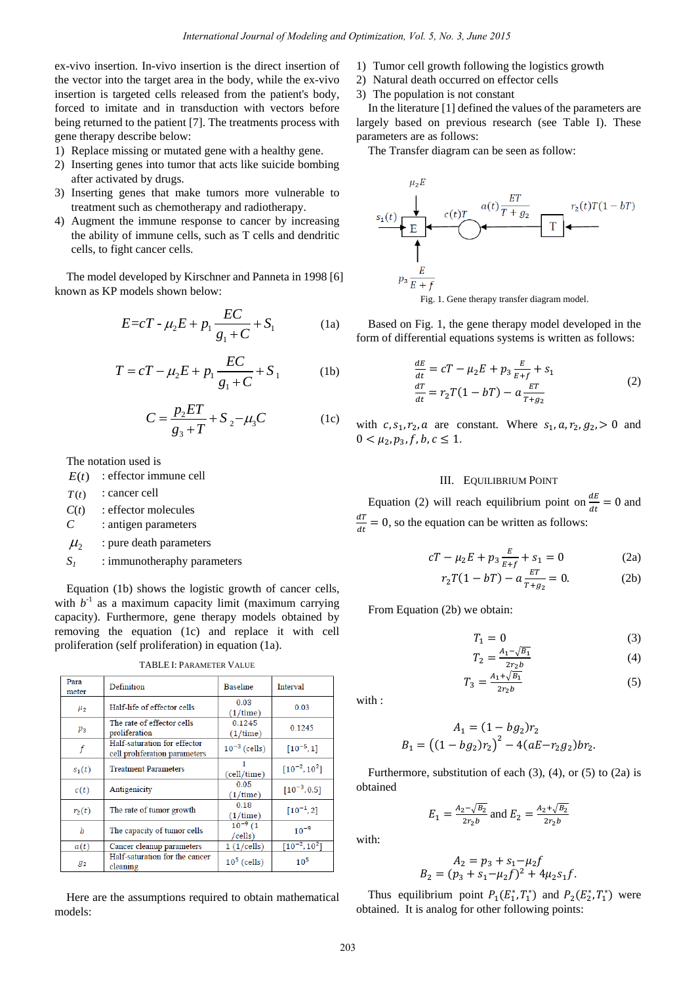ex-vivo insertion. In-vivo insertion is the direct insertion of the vector into the target area in the body, while the ex-vivo insertion is targeted cells released from the patient's body, forced to imitate and in transduction with vectors before being returned to the patient [7]. The treatments process with gene therapy describe below:

- 1) Replace missing or mutated gene with a healthy gene.
- 2) Inserting genes into tumor that acts like suicide bombing after activated by drugs.
- 3) Inserting genes that make tumors more vulnerable to treatment such as chemotherapy and radiotherapy.
- 4) Augment the immune response to cancer by increasing the ability of immune cells, such as T cells and dendritic cells, to fight cancer cells.

The model developed by Kirschner and Panneta in 1998 [6] known as KP models shown below:

$$
E = cT - \mu_2 E + p_1 \frac{EC}{g_1 + C} + S_1
$$
 (1a)

$$
T = cT - \mu_2 E + p_1 \frac{EC}{g_1 + C} + S_1
$$
 (1b)

$$
C = \frac{p_2 ET}{g_3 + T} + S_2 - \mu_3 C
$$
 (1c)

The notation used is

 $E(t)$ : effector immune cell

 $T(t)$ : cancer cell

 $C(t)$ : effector molecules

*C* : antigen parameters

- $\mu$ <sub>2</sub> : pure death parameters
- *S<sup>1</sup>* : immunotheraphy parameters

Equation (1b) shows the logistic growth of cancer cells, with  $b^{-1}$  as a maximum capacity limit (maximum carrying capacity). Furthermore, gene therapy models obtained by removing the equation (1c) and replace it with cell proliferation (self proliferation) in equation (1a).

| Para<br>meter | Definition                                                    | <b>Baseline</b>          | Interval            |  |
|---------------|---------------------------------------------------------------|--------------------------|---------------------|--|
| $\mu_{2}$     | Half-life of effector cells                                   | 0.03<br>(1/time)         | 0.03                |  |
| $p_3$         | The rate of effector cells<br>proliferation                   | 0.1245<br>(1/time)       | 0.1245              |  |
| f             | Half-saturation for effector<br>cell proliferation parameters | $10^{-3}$ (cells)        | $[10^{-5}, 1]$      |  |
| $s_1(t)$      | <b>Treatment Parameters</b>                                   | (cell/time)              | $[10^{-2}, 10^{2}]$ |  |
| c(t)          | Antigenicity                                                  | 0.05<br>(1/time)         | $[10^{-3}, 0.5]$    |  |
| $r_2(t)$      | The rate of tumor growth                                      | 0.18<br>(1/time)         | $[10^{-1}, 2]$      |  |
| b             | The capacity of tumor cells                                   | $10^{-9}$ (1)<br>/cells) | $10^{-9}$           |  |
| a(t)          | Cancer cleanup parameters                                     | 1(1/cells)               | $[10^{-2}, 10^{2}]$ |  |
| 92            | Half-saturation for the cancer<br>cleaning                    | $105$ (cells)            | $10^{5}$            |  |

TABLE I: PARAMETER VALUE

Here are the assumptions required to obtain mathematical models:

- 1) Tumor cell growth following the logistics growth
- 2) Natural death occurred on effector cells
- 3) The population is not constant

In the literature [1] defined the values of the parameters are largely based on previous research (see Table I). These parameters are as follows:

The Transfer diagram can be seen as follow:



Based on Fig. 1, the gene therapy model developed in the form of differential equations systems is written as follows:

$$
\frac{dE}{dt} = cT - \mu_2 E + p_3 \frac{E}{E+f} + s_1
$$
  

$$
\frac{dT}{dt} = r_2 T (1 - bT) - a \frac{ET}{T+g_2}
$$
 (2)

with  $c, s_1, r_2, a$  are constant. Where  $s_1, a, r_2, g_2 > 0$  and  $0 < \mu_2, p_3, f, b, c \leq 1.$ 

## III. EQUILIBRIUM POINT

Equation (2) will reach equilibrium point on  $\frac{d}{dx}$  $\frac{dE}{dt} = 0$  and d  $\frac{du}{dt} = 0$ , so the equation can be written as follows:

$$
cT - \mu_2 E + p_3 \frac{E}{E + f} + s_1 = 0
$$
 (2a)

$$
r_2 T(1 - bT) - a \frac{ET}{T + g_2} = 0.
$$
 (2b)

From Equation (2b) we obtain:

$$
T_1 = 0 \tag{3}
$$

$$
T_2 = \frac{A_1 - \sqrt{B_1}}{2r_2 b} \tag{4}
$$

$$
T_3 = \frac{A_1 + \sqrt{B_1}}{2r_2 b} \tag{5}
$$

with :

$$
A_1 = (1 - bg_2)r_2
$$
  

$$
B_1 = ((1 - bg_2)r_2)^2 - 4(aE - r_2g_2)br_2.
$$

Furthermore, substitution of each  $(3)$ ,  $(4)$ , or  $(5)$  to  $(2a)$  is obtained

$$
E_1 = \frac{A_2 - \sqrt{B_2}}{2r_2 b}
$$
 and  $E_2 = \frac{A_2 + \sqrt{B_2}}{2r_2 b}$ 

with:

$$
A_2 = p_3 + s_1 - \mu_2 f
$$
  
\n
$$
B_2 = (p_3 + s_1 - \mu_2 f)^2 + 4\mu_2 s_1 f.
$$

Thus equilibrium point  $P_1(E_1^*, T_1^*)$  and  $P_2(E_2^*, T_1^*)$  were obtained. It is analog for other following points: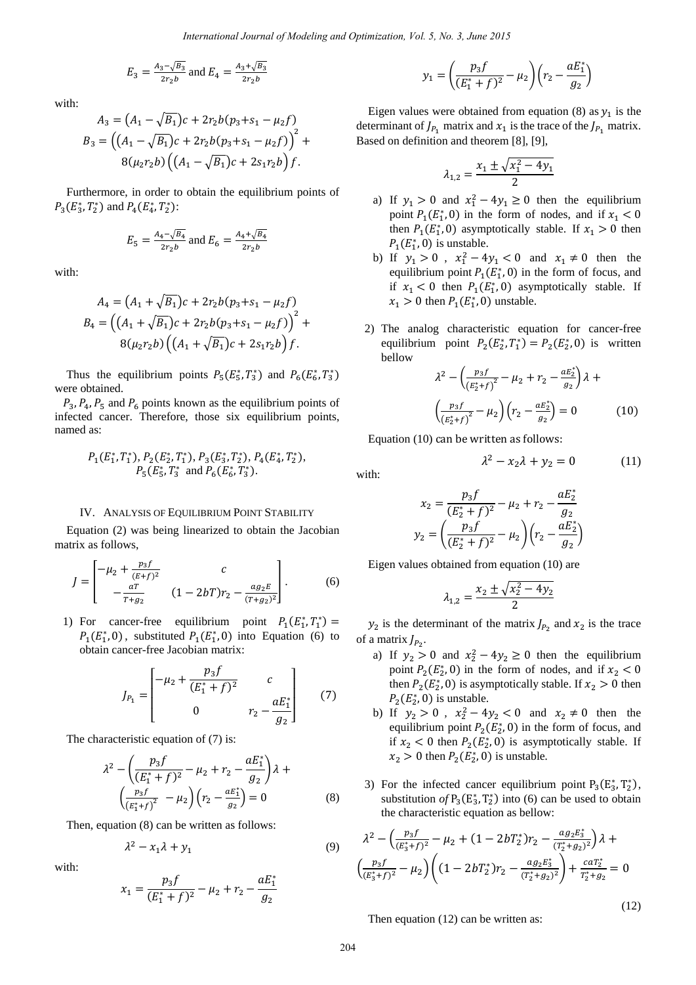$$
E_3 = \frac{A_3 - \sqrt{B_3}}{2r_2 b}
$$
 and  $E_4 = \frac{A_3 + \sqrt{B_3}}{2r_2 b}$ 

with:

$$
A_3 = (A_1 - \sqrt{B_1})c + 2r_2b(p_3 + s_1 - \mu_2 f)
$$
  
\n
$$
B_3 = ((A_1 - \sqrt{B_1})c + 2r_2b(p_3 + s_1 - \mu_2 f))^{2} +
$$
  
\n
$$
8(\mu_2 r_2 b) ((A_1 - \sqrt{B_1})c + 2s_1r_2 b) f.
$$

Furthermore, in order to obtain the equilibrium points of  $P_3(E_3^*, T_2^*)$  and  $P_4(E_4^*, T_2^*)$ :

$$
E_5 = \frac{A_4 - \sqrt{B_4}}{2r_2b}
$$
 and  $E_6 = \frac{A_4 + \sqrt{B_4}}{2r_2b}$ 

with:

$$
A_4 = (A_1 + \sqrt{B_1})c + 2r_2b(p_3 + s_1 - \mu_2 f)
$$
  
\n
$$
B_4 = ((A_1 + \sqrt{B_1})c + 2r_2b(p_3 + s_1 - \mu_2 f))^{2} +
$$
  
\n
$$
8(\mu_2 r_2 b) ((A_1 + \sqrt{B_1})c + 2s_1 r_2 b) f.
$$

Thus the equilibrium points  $P_5(E_5^*, T_3^*)$  and  $P_6(E_6^*, T_3^*)$ were obtained.

 $P_4$ ,  $P_5$  and  $P_6$  points known as the equilibrium points of infected cancer. Therefore, those six equilibrium points, named as:

$$
P_1(E_1^*, T_1^*), P_2(E_2^*, T_1^*), P_3(E_3^*, T_2^*), P_4(E_4^*, T_2^*),
$$
  
\n $P_5(E_5^*, T_3^*$  and  $P_6(E_6^*, T_3^*).$ 

## IV. ANALYSIS OF EQUILIBRIUM POINT STABILITY

Equation (2) was being linearized to obtain the Jacobian matrix as follows,

$$
J = \begin{bmatrix} -\mu_2 + \frac{p_3 f}{(E+f)^2} & c \\ -\frac{aT}{T+g_2} & (1 - 2bT)r_2 - \frac{a g_2 E}{(T+g_2)^2} \end{bmatrix} .
$$
 (6)

1) For cancer-free equilibrium point  $P_1(E_1^*, T_1^*)$  $P_1(E_1^*, 0)$ , substituted  $P_1(E_1^*, 0)$  into Equation (6) to obtain cancer-free Jacobian matrix:

$$
J_{P_1} = \begin{bmatrix} -\mu_2 + \frac{p_3 f}{(E_1^* + f)^2} & c \\ 0 & r_2 - \frac{a E_1^*}{g_2} \end{bmatrix}
$$
 (7)

The characteristic equation of  $(7)$  is:

$$
\lambda^{2} - \left(\frac{p_{3}f}{(E_{1}^{*} + f)^{2}} - \mu_{2} + r_{2} - \frac{aE_{1}^{*}}{g_{2}}\right)\lambda + \left(\frac{p_{3}f}{(E_{1}^{*} + f)^{2}} - \mu_{2}\right)\left(r_{2} - \frac{aE_{1}^{*}}{g_{2}}\right) = 0
$$
\n(8)

Then, equation (8) can be written as follows:

$$
\lambda^2 - x_1 \lambda + y_1 \tag{9}
$$

with:

$$
x_1 = \frac{p_3 f}{(E_1^* + f)^2} - \mu_2 + r_2 - \frac{a E_1^*}{g_2}
$$

$$
y_1 = \left(\frac{p_3 f}{(E_1^* + f)^2} - \mu_2\right) \left(r_2 - \frac{a E_1^*}{g_2}\right)
$$

Eigen values were obtained from equation (8) as  $y_1$  is the determinant of  $J_{P_1}$  matrix and  $x_1$  is the trace of the  $J_{P_1}$  matrix. Based on definition and theorem [8], [9],

$$
\lambda_{1,2} = \frac{x_1 \pm \sqrt{x_1^2 - 4y_1}}{2}
$$

- a) If  $y_1 > 0$  and  $x_1^2 4y_1 \ge 0$  then the equilibrium point  $P_1(E_1^*, 0)$  in the form of nodes, and if then  $P_1(E_1^*, 0)$  asymptotically stable. If  $x_1 > 0$  then  $P_1(E_1^*, 0)$  is unstable.
- b) If  $y_1 > 0$ ,  $x_1^2 4y_1 < 0$  and  $x_1 \neq 0$  then the equilibrium point  $P_1(E_1^*, 0)$  in the form of focus, and if  $x_1 < 0$  then  $P_1(E_1^*, 0)$  asymptotically stable. If  $x_1 > 0$  then  $P_1(E_1^*, 0)$  unstable.
- 2) The analog characteristic equation for cancer-free equilibrium point  $P_2(E_2^*, T_1^*) = P_2(E_2^*, 0)$  is written bellow

$$
\lambda^{2} - \left(\frac{p_{3}f}{\left(E_{2}^{*}+f\right)^{2}} - \mu_{2} + r_{2} - \frac{aE_{2}^{*}}{g_{2}}\right)\lambda + \left(\frac{p_{3}f}{\left(E_{2}^{*}+f\right)^{2}} - \mu_{2}\right)\left(r_{2} - \frac{aE_{2}^{*}}{g_{2}}\right) = 0 \tag{10}
$$

Equation (10) can be written as follows:

$$
\lambda^2 - x_2 \lambda + y_2 = 0 \tag{11}
$$

with:

$$
x_2 = \frac{p_3 f}{(E_2^* + f)^2} - \mu_2 + r_2 - \frac{a E_2^*}{g_2}
$$

$$
y_2 = \left(\frac{p_3 f}{(E_2^* + f)^2} - \mu_2\right) \left(r_2 - \frac{a E_2^*}{g_2}\right)
$$

Eigen values obtained from equation (10) are

$$
\lambda_{1,2} = \frac{x_2 \pm \sqrt{x_2^2 - 4y_2}}{2}
$$

 $y_2$  is the determinant of the matrix  $I_{P_2}$  and  $x_2$  is the trace of a matrix  $J_{P_2}$ .

- a) If  $y_2 > 0$  and  $x_2^2 4y_2 \ge 0$  then the equilibrium point  $P_2(E_2^*, 0)$  in the form of nodes, and if x then  $P_2(E_2^*, 0)$  is asymptotically stable. If  $x_2 > 0$  then  $P_2(E_2^*,0)$  is unstable.
- b) If  $y_2 > 0$ ,  $x_2^2 4y_2 < 0$  and  $x_2 \neq 0$  then the equilibrium point  $P_2(E_2^*, 0)$  in the form of focus, and if  $x_2 < 0$  then  $P_2(E_2^*, 0)$  is asymptotically stable. If  $x_2 > 0$  then  $P_2(E_2^*, 0)$  is unstable.
- 3) For the infected cancer equilibrium point  $P_3(E_3^*, T_2^*)$ , substitution of  $P_3(E_3^*, T_2^*)$  into (6) can be used to obtain the characteristic equation as bellow:

$$
\lambda^{2} - \left(\frac{p_{3}f}{(E_{3}^{*}+f)^{2}} - \mu_{2} + (1 - 2bT_{2}^{*})r_{2} - \frac{ag_{2}E_{3}^{*}}{(T_{2}^{*}+g_{2})^{2}}\right)\lambda + \left(\frac{p_{3}f}{(E_{3}^{*}+f)^{2}} - \mu_{2}\right)\left((1 - 2bT_{2}^{*})r_{2} - \frac{ag_{2}E_{3}^{*}}{(T_{2}^{*}+g_{2})^{2}}\right) + \frac{caT_{2}^{*}}{T_{2}^{*}+g_{2}} = 0
$$

(12)

Then equation (12) can be written as: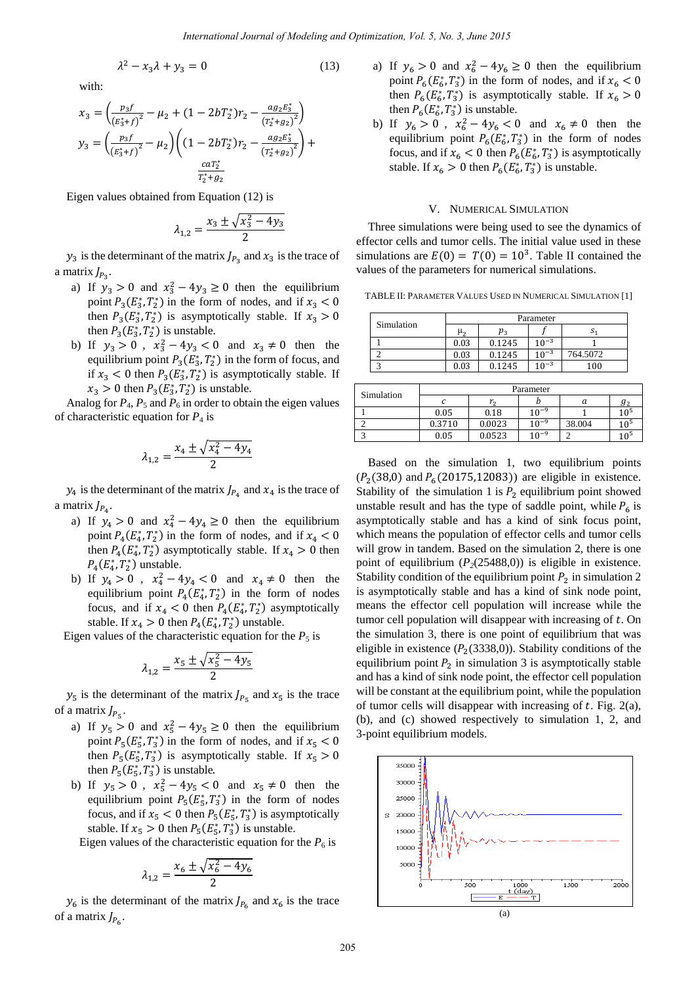$$
\lambda^2 - x_3 \lambda + y_3 = 0 \tag{13}
$$

with:

$$
x_3 = \left(\frac{p_3 f}{\left(E_3^* + f\right)^2} - \mu_2 + (1 - 2bT_2^*)r_2 - \frac{a g_2 E_3^*}{\left(T_2^* + g_2\right)^2}\right)
$$
  

$$
y_3 = \left(\frac{p_3 f}{\left(E_3^* + f\right)^2} - \mu_2\right) \left((1 - 2bT_2^*)r_2 - \frac{a g_2 E_3^*}{\left(T_2^* + g_2\right)^2}\right) + \frac{c a T_2^*}{T_2^* + g_2}
$$

Eigen values obtained from Equation (12) is

$$
\lambda_{1,2} = \frac{x_3 \pm \sqrt{x_3^2 - 4y_3}}{2}
$$

 $y_3$  is the determinant of the matrix  $J_{P_2}$  and  $x_3$  is the trace of a matrix  $J_{P_2}$ .

- a) If  $y_3 > 0$  and  $x_3^2 4y_3 \ge 0$  then the equilibrium point  $P_3(E_3^*, T_2^*)$  in the form of nodes, and if then  $P_3(E_3^*, T_2^*)$  is asymptotically stable. If then  $P_3(E_3^*, T_2^*)$  is unstable.
- b) If  $y_3 > 0$ ,  $x_3^2 4y_3 < 0$  and  $x_3 \neq 0$  then the equilibrium point  $P_3(E_3^*, T_2^*)$  in the form of focus, and if  $x_3 < 0$  then  $P_3(E_3^*, T_2^*)$  is asymptotically stable. If  $x_3 > 0$  then  $P_3(E_3^*, T_2^*)$  is unstable.

Analog for  $P_4$ ,  $P_5$  and  $P_6$  in order to obtain the eigen values of characteristic equation for  $P_4$  is

$$
\lambda_{1,2} = \frac{x_4 \pm \sqrt{x_4^2 - 4y_4}}{2}
$$

 $y_4$  is the determinant of the matrix  $I_{P_4}$  and  $x_4$  is the trace of a matrix  $J_{P_4}$ .

- a) If  $y_4 > 0$  and  $x_4^2 4y_4 \ge 0$  then the equilibrium point  $P_4(E_4^*, T_2^*)$  in the form of nodes, and if then  $P_4(E_4^*, T_2^*)$  asymptotically stable. If  $x_4 > 0$  then  $P_4(E_4^*,T_2^*)$  unstable.
- b) If  $y_4 > 0$ ,  $x_4^2 4y_4 < 0$  and  $x_4 \neq 0$  then the equilibrium point  $P_4(E_4^*, T_2^*)$  in the form of nodes focus, and if  $x_4 < 0$  then  $P_4(E_4^*, T_2^*)$  asymptotically stable. If  $x_4 > 0$  then  $P_4(E_4^*, T_2^*)$  unstable.

Eigen values of the characteristic equation for the  $P_5$  is

$$
\lambda_{1,2} = \frac{x_5 \pm \sqrt{x_5^2 - 4y_5}}{2}
$$

 $y_5$  is the determinant of the matrix  $J_{P_{\tau}}$  and  $x_5$  is the trace of a matrix  $J_{P_{\epsilon}}$ .

- a) If  $y_5 > 0$  and  $x_5^2 4y_5 \ge 0$  then the equilibrium point  $P_5(E_5^*, T_3^*)$  in the form of nodes, and if then  $P_5(E_5^*, T_3^*)$  is asymptotically stable. If then  $P_5(E_5^*, T_3^*)$  is unstable.
- b) If  $y_5 > 0$ ,  $x_5^2 4y_5 < 0$  and  $x_5 \neq 0$  then the equilibrium point  $P_5(E_5^*, T_3^*)$  in the form of nodes focus, and if  $x_5 < 0$  then  $P_5(E_5^*, T_3^*)$  is asymptotically stable. If  $x_5 > 0$  then  $P_5(E_5^*, T_3^*)$  is unstable.

Eigen values of the characteristic equation for the  $P_6$  is

$$
\lambda_{1,2} = \frac{x_6 \pm \sqrt{x_6^2 - 4y_6}}{2}
$$

 $y_6$  is the determinant of the matrix  $J_{P_6}$  and  $x_6$  is the trace of a matrix  $J_{P_6}$ .

- a) If  $y_6 > 0$  and  $x_6^2 4y_6 \ge 0$  then the equilibrium point  $P_6(E_6^*, T_3^*)$  in the form of nodes, and if then  $P_6(E_6^*, T_3^*)$  is asymptotically stable. If then  $P_6(E_6^*, T_3^*)$  is unstable.
- b) If  $y_6 > 0$ ,  $x_6^2 4y_6 < 0$  and  $x_6 \neq 0$  then the equilibrium point  $P_6(E_6^*, T_3^*)$  in the form of nodes focus, and if  $x_6 < 0$  then  $P_6(E_6^*, T_3^*)$  is asymptotically stable. If  $x_6 > 0$  then  $P_6(E_6^*, T_3^*)$  is unstable.

## V. NUMERICAL SIMULATION

Three simulations were being used to see the dynamics of effector cells and tumor cells. The initial value used in these simulations are  $E(0) = T(0) = 10<sup>3</sup>$ . Table II contained the values of the parameters for numerical simulations.

TABLE II: PARAMETER VALUES USED IN NUMERICAL SIMULATION [1]

|            | Parameter |                            |           |          |
|------------|-----------|----------------------------|-----------|----------|
| Simulation | μ,        | $p_{\scriptscriptstyle 3}$ |           | s        |
|            | 0.03      | 0.1245                     | $10^{-3}$ |          |
|            | 0.03      | 0.1245                     | $10^{-3}$ | 764.5072 |
|            | 0.03      | 0.1245                     | $10^{-3}$ | 100      |

| Simulation | Parameter |        |           |        |          |  |
|------------|-----------|--------|-----------|--------|----------|--|
|            |           | r,     |           | а      | $g_{2}$  |  |
|            | 0.05      | 0.18   | $10^{-9}$ |        | $10^{5}$ |  |
|            | 0.3710    | 0.0023 | $10^{-9}$ | 38.004 | $10^{5}$ |  |
|            | 0.05      | 0.0523 | $10^{-9}$ |        | $10^{5}$ |  |

Based on the simulation 1, two equilibrium points  $(P_2(38,0)$  and  $P_6(20175,12083))$  are eligible in existence. Stability of the simulation 1 is  $P_2$  equilibrium point showed unstable result and has the type of saddle point, while  $P_6$  is asymptotically stable and has a kind of sink focus point, which means the population of effector cells and tumor cells will grow in tandem. Based on the simulation 2, there is one point of equilibrium  $(P_2(25488,0))$  is eligible in existence. Stability condition of the equilibrium point  $P_2$  in simulation 2 is asymptotically stable and has a kind of sink node point, means the effector cell population will increase while the tumor cell population will disappear with increasing of  $t$ . On the simulation 3, there is one point of equilibrium that was eligible in existence  $(P_2(3338,0))$ . Stability conditions of the equilibrium point  $P_2$  in simulation 3 is asymptotically stable and has a kind of sink node point, the effector cell population will be constant at the equilibrium point, while the population of tumor cells will disappear with increasing of  $t$ . Fig. 2(a), (b), and (c) showed respectively to simulation 1, 2, and 3-point equilibrium models.